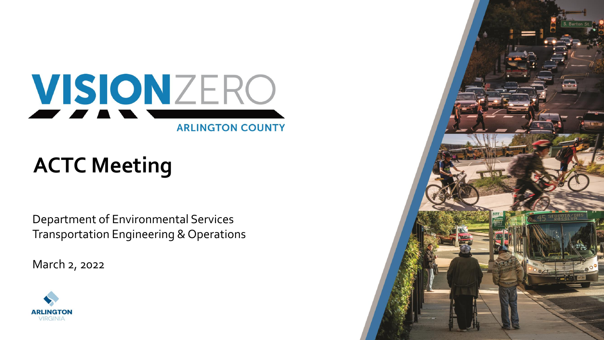

# **ACTC Meeting**

Department of Environmental Services Transportation Engineering & Operations

March 2, 2022



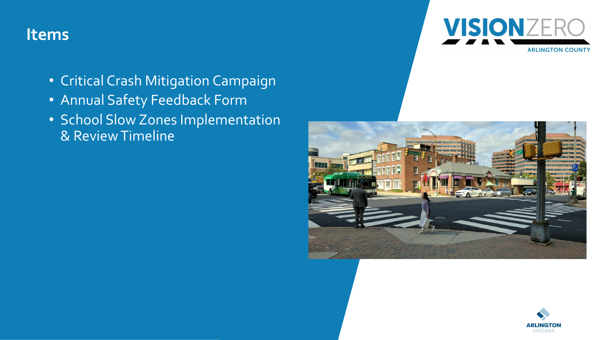### **Items**



- Critical Crash Mitigation Campaign
- Annual Safety Feedback Form
- School Slow Zones Implementation & Review Timeline



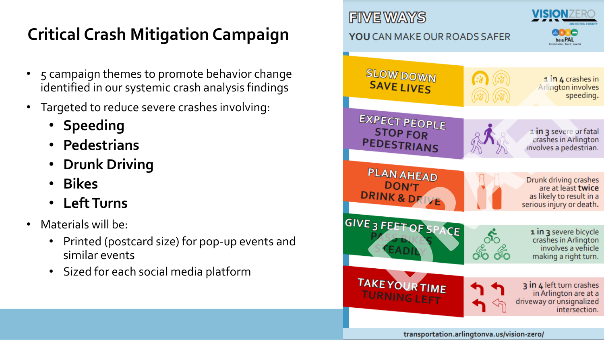# **Critical Crash Mitigation Campaign**

- 5 campaign themes to promote behavior change identified in our systemic crash analysis findings
- Targeted to reduce severe crashes involving:
	- **Speeding**
	- **Pedestrians**
	- **Drunk Driving**
	- **Bikes**
	- **Left Turns**
- Materials will be:
	- Printed (postcard size) for pop-up events and similar events
	- Sized for each social media platform

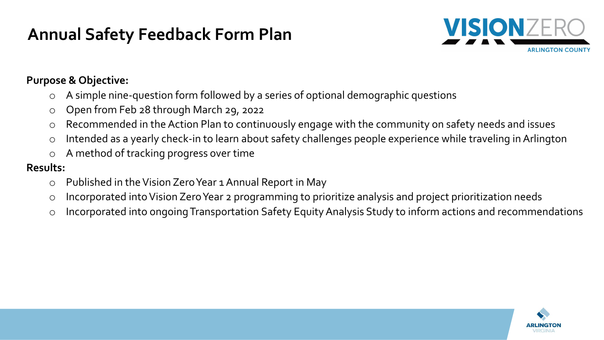# **Annual Safety Feedback Form Plan**



#### **Purpose & Objective:**

- A simple nine-question form followed by a series of optional demographic questions
- o Open from Feb 28 through March 29, 2022
- o Recommended in the Action Plan to continuously engage with the community on safety needs and issues
- o Intended as a yearly check-in to learn about safety challenges people experience while traveling in Arlington
- o A method of tracking progress over time

#### **Results:**

- o Published in the Vision Zero Year 1 Annual Report in May
- o Incorporated into Vision Zero Year 2 programming to prioritize analysis and project prioritization needs
- o Incorporated into ongoing Transportation Safety Equity Analysis Study to inform actions and recommendations

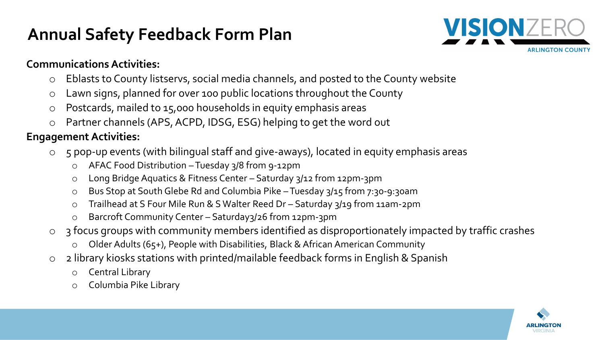# **Annual Safety Feedback Form Plan**



#### **Communications Activities:**

- o Eblasts to County listservs, social media channels, and posted to the County website
- o Lawn signs, planned for over 100 public locations throughout the County
- o Postcards, mailed to 15,000 households in equity emphasis areas
- o Partner channels (APS, ACPD, IDSG, ESG) helping to get the word out

#### **Engagement Activities:**

- o 5 pop-up events (with bilingual staff and give-aways), located in equity emphasis areas
	- o AFAC Food Distribution –Tuesday 3/8 from 9-12pm
	- o Long Bridge Aquatics & Fitness Center Saturday 3/12 from 12pm-3pm
	- o Bus Stop at South Glebe Rd and Columbia Pike –Tuesday 3/15 from 7:30-9:30am
	- o Trailhead at S Four Mile Run & S Walter Reed Dr Saturday 3/19 from 11am-2pm
	- o Barcroft Community Center Saturday3/26 from 12pm-3pm
- o 3 focus groups with community members identified as disproportionately impacted by traffic crashes
	- Older Adults (65+), People with Disabilities, Black & African American Community
- o 2 library kiosks stations with printed/mailable feedback forms in English & Spanish
	- o Central Library
	- o Columbia Pike Library

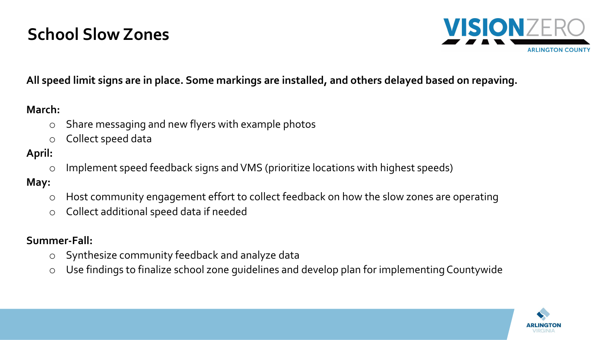# **School Slow Zones**



#### **All speed limit signs are in place. Some markings are installed, and others delayed based on repaving.**

#### **March:**

- o Share messaging and new flyers with example photos
- o Collect speed data

#### **April:**

o Implement speed feedback signs and VMS (prioritize locations with highest speeds)

#### **May:**

- o Host community engagement effort to collect feedback on how the slow zones are operating
- o Collect additional speed data if needed

#### **Summer-Fall:**

- o Synthesize community feedback and analyze data
- o Use findings to finalize school zone guidelines and develop plan for implementing Countywide